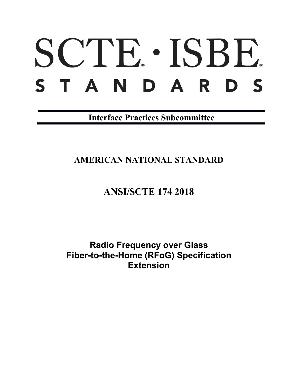# SCTE · ISBE. S T A N D A R D S

**Interface Practices Subcommittee**

**AMERICAN NATIONAL STANDARD**

# **ANSI/SCTE 174 2018**

**Radio Frequency over Glass Fiber-to-the-Home (RFoG) Specification Extension**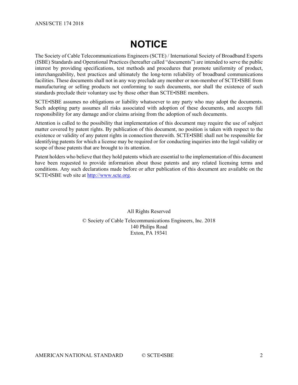# **NOTICE**

<span id="page-1-0"></span>The Society of Cable Telecommunications Engineers (SCTE) / International Society of Broadband Experts (ISBE) Standards and Operational Practices (hereafter called "documents") are intended to serve the public interest by providing specifications, test methods and procedures that promote uniformity of product, interchangeability, best practices and ultimately the long-term reliability of broadband communications facilities. These documents shall not in any way preclude any member or non-member of SCTE•ISBE from manufacturing or selling products not conforming to such documents, nor shall the existence of such standards preclude their voluntary use by those other than SCTE•ISBE members.

SCTE•ISBE assumes no obligations or liability whatsoever to any party who may adopt the documents. Such adopting party assumes all risks associated with adoption of these documents, and accepts full responsibility for any damage and/or claims arising from the adoption of such documents.

Attention is called to the possibility that implementation of this document may require the use of subject matter covered by patent rights. By publication of this document, no position is taken with respect to the existence or validity of any patent rights in connection therewith. SCTE•ISBE shall not be responsible for identifying patents for which a license may be required or for conducting inquiries into the legal validity or scope of those patents that are brought to its attention.

Patent holders who believe that they hold patents which are essential to the implementation of this document have been requested to provide information about those patents and any related licensing terms and conditions. Any such declarations made before or after publication of this document are available on the SCTE•ISBE web site at [http://www.scte.org.](http://www.scte.org/)

> All Rights Reserved © Society of Cable Telecommunications Engineers, Inc. 2018 140 Philips Road Exton, PA 19341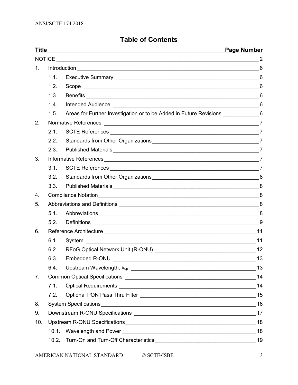# **Table of Contents**

| <b>Title</b> |       |                                                                                                                                                                                                                               | <b>Page Number</b> |
|--------------|-------|-------------------------------------------------------------------------------------------------------------------------------------------------------------------------------------------------------------------------------|--------------------|
|              |       |                                                                                                                                                                                                                               | $\overline{2}$     |
| 1.           |       |                                                                                                                                                                                                                               | $6\phantom{1}6$    |
|              | 1.1.  |                                                                                                                                                                                                                               |                    |
|              | 1.2.  |                                                                                                                                                                                                                               | 6                  |
|              | 1.3.  |                                                                                                                                                                                                                               | 6                  |
|              | 1.4.  |                                                                                                                                                                                                                               | 6                  |
|              | 1.5.  | Areas for Further Investigation or to be Added in Future Revisions ___________6                                                                                                                                               |                    |
| 2.           |       | Normative References                                                                                                                                                                                                          |                    |
|              | 2.1.  |                                                                                                                                                                                                                               |                    |
|              | 2.2.  |                                                                                                                                                                                                                               |                    |
|              | 2.3.  |                                                                                                                                                                                                                               |                    |
| 3.           |       |                                                                                                                                                                                                                               |                    |
|              | 3.1.  | SCTE References 7                                                                                                                                                                                                             |                    |
|              | 3.2.  |                                                                                                                                                                                                                               |                    |
|              | 3.3.  |                                                                                                                                                                                                                               |                    |
| 4.           |       |                                                                                                                                                                                                                               | 8                  |
| 5.           |       |                                                                                                                                                                                                                               |                    |
|              | 5.1.  | Abbreviations experience and the series of the series of the series of the series of the series of the series of the series of the series of the series of the series of the series of the series of the series of the series | 8                  |
|              | 5.2.  |                                                                                                                                                                                                                               |                    |
| 6.           |       |                                                                                                                                                                                                                               |                    |
|              | 6.1.  |                                                                                                                                                                                                                               |                    |
|              | 6.2.  |                                                                                                                                                                                                                               |                    |
|              | 6.3.  |                                                                                                                                                                                                                               |                    |
|              | 6.4.  |                                                                                                                                                                                                                               | 13                 |
| 7.           |       |                                                                                                                                                                                                                               |                    |
|              | 7.1.  |                                                                                                                                                                                                                               | 14                 |
|              | 7.2.  |                                                                                                                                                                                                                               |                    |
| 8.           |       |                                                                                                                                                                                                                               | 16                 |
| 9.           |       |                                                                                                                                                                                                                               |                    |
| 10.          |       |                                                                                                                                                                                                                               | 18                 |
|              |       |                                                                                                                                                                                                                               | 18                 |
|              | 10.2. |                                                                                                                                                                                                                               | 19                 |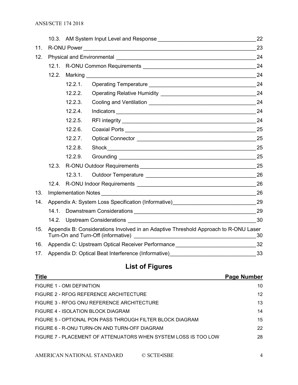|     |                                                                                            |                                                                                                                                                       |    | 22 |  |
|-----|--------------------------------------------------------------------------------------------|-------------------------------------------------------------------------------------------------------------------------------------------------------|----|----|--|
| 11. |                                                                                            |                                                                                                                                                       | 23 |    |  |
| 12. |                                                                                            | R-ONU Power                                                                                                                                           |    |    |  |
|     |                                                                                            | 24                                                                                                                                                    |    |    |  |
|     | 12.2.                                                                                      |                                                                                                                                                       |    | 24 |  |
|     |                                                                                            | 12.2.1.                                                                                                                                               |    | 24 |  |
|     |                                                                                            | 12.2.2.                                                                                                                                               |    | 24 |  |
|     |                                                                                            | 12.2.3.                                                                                                                                               |    | 24 |  |
|     |                                                                                            | 12.2.4.                                                                                                                                               |    | 24 |  |
|     |                                                                                            | 12.2.5.                                                                                                                                               |    | 24 |  |
|     |                                                                                            | 12.2.6.                                                                                                                                               |    | 25 |  |
|     |                                                                                            | 12.2.7.                                                                                                                                               |    | 25 |  |
|     |                                                                                            | 12.2.8.                                                                                                                                               |    | 25 |  |
|     |                                                                                            | 12.2.9.                                                                                                                                               |    | 25 |  |
|     | 12.3.                                                                                      |                                                                                                                                                       |    | 25 |  |
|     |                                                                                            | 12.3.1.                                                                                                                                               |    | 26 |  |
|     |                                                                                            | 12.4.                                                                                                                                                 |    | 26 |  |
| 13. |                                                                                            | <b>Implementation Notes</b><br><u> 1989 - Johann Stoff, deutscher Stoffen und der Stoffen und der Stoffen und der Stoffen und der Stoffen und der</u> |    |    |  |
| 14. | Appendix A: System Loss Specification (Informative) ____________________________           |                                                                                                                                                       |    |    |  |
|     |                                                                                            |                                                                                                                                                       |    | 29 |  |
|     |                                                                                            |                                                                                                                                                       |    | 30 |  |
| 15. | Appendix B: Considerations Involved in an Adaptive Threshold Approach to R-ONU Laser<br>30 |                                                                                                                                                       |    |    |  |
| 16. | Appendix C: Upstream Optical Receiver Performance ______________________________<br>32     |                                                                                                                                                       |    |    |  |
| 17. | 33<br>Appendix D: Optical Beat Interference (Informative)                                  |                                                                                                                                                       |    |    |  |

# **List of Figures**

| <b>Title</b>                                                    | <b>Page Number</b> |
|-----------------------------------------------------------------|--------------------|
| FIGURE 1 - OMI DEFINITION                                       | 10                 |
| FIGURE 2 - RFOG REFERENCE ARCHITECTURE                          | $12 \overline{ }$  |
| FIGURE 3 - RFOG ONU REFERENCE ARCHITECTURE                      | 13                 |
| FIGURE 4 - ISOLATION BLOCK DIAGRAM                              | 14                 |
| FIGURE 5 - OPTIONAL PON PASS THROUGH FILTER BLOCK DIAGRAM       | 15                 |
| FIGURE 6 - R-ONU TURN-ON AND TURN-OFF DIAGRAM                   | 22                 |
| FIGURE 7 - PLACEMENT OF ATTENUATORS WHEN SYSTEM LOSS IS TOO LOW | 28                 |
|                                                                 |                    |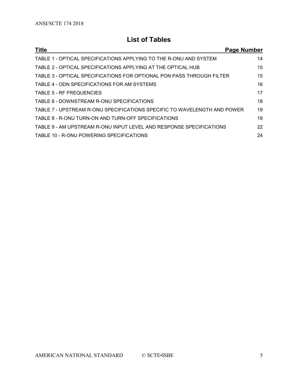# **List of Tables**

| <b>Title</b>                                                             | Page Number |
|--------------------------------------------------------------------------|-------------|
| TABLE 1 - OPTICAL SPECIFICATIONS APPLYING TO THE R-ONU AND SYSTEM        | 14          |
| TABLE 2 - OPTICAL SPECIFICATIONS APPLYING AT THE OPTICAL HUB             | 15          |
| TABLE 3 - OPTICAL SPECIFICATIONS FOR OPTIONAL PON PASS THROUGH FILTER    | 15          |
| TABLE 4 - ODN SPECIFICATIONS FOR AM SYSTEMS                              | 16          |
| TABLE 5 - RF FREQUENCIES                                                 | 17          |
| TABLE 6 - DOWNSTREAM R-ONU SPECIFICATIONS                                | 18          |
| TABLE 7 - UPSTREAM R-ONU SPECIFICATIONS SPECIFIC TO WAVELENGTH AND POWER | 19          |
| TABLE 8 - R-ONU TURN-ON AND TURN-OFF SPECIFICATIONS                      | 19          |
| TABLE 9 - AM UPSTREAM R-ONU INPUT LEVEL AND RESPONSE SPECIFICATIONS      | 22          |
| TABLE 10 - R-ONU POWERING SPECIFICATIONS                                 | 24          |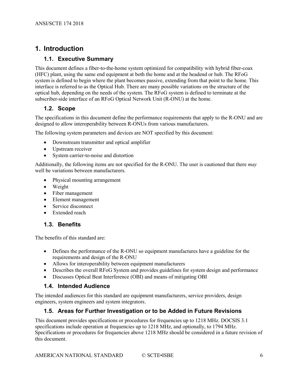## <span id="page-5-0"></span>**1. Introduction**

#### <span id="page-5-1"></span>**1.1. Executive Summary**

This document defines a fiber-to-the-home system optimized for compatibility with hybrid fiber-coax (HFC) plant, using the same end equipment at both the home and at the headend or hub. The RFoG system is defined to begin where the plant becomes passive, extending from that point to the home. This interface is referred to as the Optical Hub. There are many possible variations on the structure of the optical hub, depending on the needs of the system. The RFoG system is defined to terminate at the subscriber-side interface of an RFoG Optical Network Unit (R-ONU) at the home.

#### <span id="page-5-2"></span>**1.2. Scope**

The specifications in this document define the performance requirements that apply to the R-ONU and are designed to allow interoperability between R-ONUs from various manufacturers.

The following system parameters and devices are NOT specified by this document:

- Downstream transmitter and optical amplifier
- Upstream receiver
- System carrier-to-noise and distortion

Additionally, the following items are not specified for the R-ONU. The user is cautioned that there *may* well be variations between manufacturers.

- Physical mounting arrangement
- Weight
- Fiber management
- Element management
- Service disconnect
- Extended reach

#### <span id="page-5-3"></span>**1.3. Benefits**

The benefits of this standard are:

- Defines the performance of the R-ONU so equipment manufactures have a guideline for the requirements and design of the R-ONU
- Allows for interoperability between equipment manufacturers
- Describes the overall RFoG System and provides guidelines for system design and performance
- Discusses Optical Beat Interference (OBI) and means of mitigating OBI

#### <span id="page-5-4"></span>**1.4. Intended Audience**

The intended audiences for this standard are equipment manufacturers, service providers, design engineers, system engineers and system integrators.

#### <span id="page-5-5"></span>**1.5. Areas for Further Investigation or to be Added in Future Revisions**

This document provides specifications or procedures for frequencies up to 1218 MHz. DOCSIS 3.1 specifications include operation at frequencies up to 1218 MHz, and optionally, to 1794 MHz. Specifications or procedures for frequencies above 1218 MHz should be considered in a future revision of this document.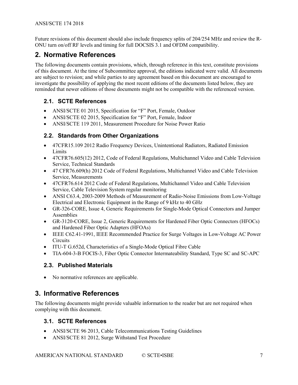#### ANSI/SCTE 174 2018

Future revisions of this document should also include frequency splits of 204/254 MHz and review the R-ONU turn on/off RF levels and timing for full DOCSIS 3.1 and OFDM compatibility.

## <span id="page-6-0"></span>**2. Normative References**

The following documents contain provisions, which, through reference in this text, constitute provisions of this document. At the time of Subcommittee approval, the editions indicated were valid. All documents are subject to revision; and while parties to any agreement based on this document are encouraged to investigate the possibility of applying the most recent editions of the documents listed below, they are reminded that newer editions of those documents might not be compatible with the referenced version.

#### <span id="page-6-1"></span>**2.1. SCTE References**

- ANSI/SCTE 01 2015, Specification for "F" Port, Female, Outdoor
- ANSI/SCTE 02 2015, Specification for "F" Port, Female, Indoor
- <span id="page-6-2"></span>• ANSI/SCTE 119 2011, Measurement Procedure for Noise Power Ratio

#### **2.2. Standards from Other Organizations**

- 47CFR15.109 2012 Radio Frequency Devices, Unintentional Radiators, Radiated Emission Limits
- 47CFR76.605(12) 2012, Code of Federal Regulations, Multichannel Video and Cable Television Service, Technical Standards
- 47 CFR76.609(h) 2012 Code of Federal Regulations, Multichannel Video and Cable Television Service, Measurements
- 47CFR76.614 2012 Code of Federal Regulations, Multichannel Video and Cable Television Service, Cable Television System regular monitoring
- ANSI C63.4, 2003-2009 Methods of Measurement of Radio-Noise Emissions from Low-Voltage Electrical and Electronic Equipment in the Range of 9 kHz to 40 GHz
- GR-326-CORE, Issue 4, Generic Requirements for Single-Mode Optical Connectors and Jumper Assemblies
- GR-3120-CORE, Issue 2, Generic Requirements for Hardened Fiber Optic Connectors (HFOCs) and Hardened Fiber Optic Adapters (HFOAs)
- IEEE C62.41-1991, IEEE Recommended Practice for Surge Voltages in Low-Voltage AC Power **Circuits**
- ITU-T G.652d, Characteristics of a Single-Mode Optical Fibre Cable
- <span id="page-6-3"></span>• TIA-604-3-B FOCIS-3, Fiber Optic Connector Intermateability Standard, Type SC and SC-APC

#### **2.3. Published Materials**

• No normative references are applicable.

## <span id="page-6-4"></span>**3. Informative References**

The following documents might provide valuable information to the reader but are not required when complying with this document.

#### <span id="page-6-5"></span>**3.1. SCTE References**

- ANSI/SCTE 96 2013, Cable Telecommunications Testing Guidelines
- ANSI/SCTE 81 2012, Surge Withstand Test Procedure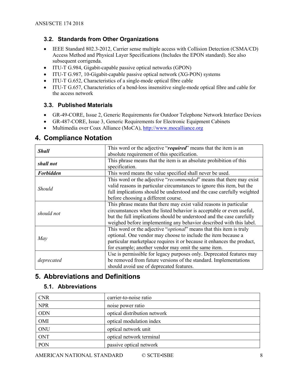#### <span id="page-7-0"></span>**3.2. Standards from Other Organizations**

- IEEE Standard 802.3-2012, Carrier sense multiple access with Collision Detection (CSMA/CD) Access Method and Physical Layer Specifications (Includes the EPON standard). See also subsequent corrigenda.
- ITU-T G.984, Gigabit-capable passive optical networks (GPON)
- ITU-T G.987, 10-Gigabit-capable passive optical network (XG-PON) systems
- ITU-T G.652, Characteristics of a single-mode optical fibre cable
- ITU-T G.657, Characteristics of a bend-loss insensitive single-mode optical fibre and cable for the access network

#### <span id="page-7-1"></span>**3.3. Published Materials**

- GR-49-CORE, Issue 2, Generic Requirements for Outdoor Telephone Network Interface Devices
- GR-487-CORE, Issue 3, Generic Requirements for Electronic Equipment Cabinets
- Multimedia over Coax Alliance (MoCA)[, http://www.mocalliance.org](http://www.mocalliance.org/)

## <span id="page-7-2"></span>**4. Compliance Notation**

| <b>Shall</b>     | This word or the adjective "required" means that the item is an<br>absolute requirement of this specification.                                                                                                                                                                             |  |  |
|------------------|--------------------------------------------------------------------------------------------------------------------------------------------------------------------------------------------------------------------------------------------------------------------------------------------|--|--|
| shall not        | This phrase means that the item is an absolute prohibition of this<br>specification.                                                                                                                                                                                                       |  |  |
| <b>Forbidden</b> | This word means the value specified shall never be used.                                                                                                                                                                                                                                   |  |  |
| <b>Should</b>    | This word or the adjective "recommended" means that there may exist<br>valid reasons in particular circumstances to ignore this item, but the<br>full implications should be understood and the case carefully weighted<br>before choosing a different course.                             |  |  |
| should not       | This phrase means that there may exist valid reasons in particular<br>circumstances when the listed behavior is acceptable or even useful,<br>but the full implications should be understood and the case carefully<br>weighed before implementing any behavior described with this label. |  |  |
| May              | This word or the adjective " <i>optional</i> " means that this item is truly<br>optional. One vendor may choose to include the item because a<br>particular marketplace requires it or because it enhances the product,<br>for example; another vendor may omit the same item.             |  |  |
| deprecated       | Use is permissible for legacy purposes only. Deprecated features may<br>be removed from future versions of the standard. Implementations<br>should avoid use of deprecated features.                                                                                                       |  |  |

## <span id="page-7-3"></span>**5. Abbreviations and Definitions**

#### <span id="page-7-4"></span>**5.1. Abbreviations**

| <b>CNR</b> | carrier-to-noise ratio       |
|------------|------------------------------|
| <b>NPR</b> | noise power ratio            |
| <b>ODN</b> | optical distribution network |
| OMI        | optical modulation index     |
| ONU        | optical network unit         |
| <b>ONT</b> | optical network terminal     |
| PON        | passive optical network      |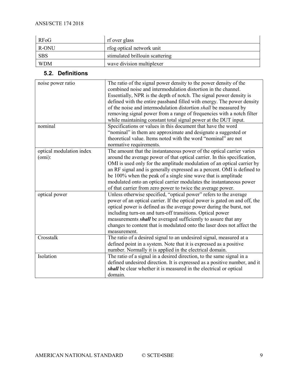| <b>RFoG</b> | rf over glass                   |
|-------------|---------------------------------|
| R-ONU       | rfog optical network unit       |
| <b>SBS</b>  | stimulated brillouin scattering |
| <b>WDM</b>  | wave division multiplexer       |

## <span id="page-8-0"></span>**5.2. Definitions**

| noise power ratio                  | The ratio of the signal power density to the power density of the<br>combined noise and intermodulation distortion in the channel.<br>Essentially, NPR is the depth of notch. The signal power density is<br>defined with the entire passband filled with energy. The power density<br>of the noise and intermodulation distortion shall be measured by<br>removing signal power from a range of frequencies with a notch filter<br>while maintaining constant total signal power at the DUT input.           |
|------------------------------------|---------------------------------------------------------------------------------------------------------------------------------------------------------------------------------------------------------------------------------------------------------------------------------------------------------------------------------------------------------------------------------------------------------------------------------------------------------------------------------------------------------------|
| nominal                            | Specifications or values in this document that have the word<br>"nominal" in them are approximate and designate a suggested or<br>theoretical value. Items noted with the word "nominal" are not<br>normative requirements.                                                                                                                                                                                                                                                                                   |
| optical modulation index<br>(omi): | The amount that the instantaneous power of the optical carrier varies<br>around the average power of that optical carrier. In this specification,<br>OMI is used only for the amplitude modulation of an optical carrier by<br>an RF signal and is generally expressed as a percent. OMI is defined to<br>be 100% when the peak of a single sine wave that is amplitude<br>modulated onto an optical carrier modulates the instantaneous power<br>of that carrier from zero power to twice the average power. |
| optical power                      | Unless otherwise specified, "optical power" refers to the average<br>power of an optical carrier. If the optical power is gated on and off, the<br>optical power is defined as the average power during the burst, not<br>including turn-on and turn-off transitions. Optical power<br>measurements shall be averaged sufficiently to assure that any<br>changes to content that is modulated onto the laser does not affect the<br>measurement.                                                              |
| Crosstalk                          | The ratio of a desired signal to an undesired signal, measured at a<br>defined point in a system. Note that it is expressed as a positive<br>number. Normally it is applied in the electrical domain.                                                                                                                                                                                                                                                                                                         |
| Isolation                          | The ratio of a signal in a desired direction, to the same signal in a<br>defined undesired direction. It is expressed as a positive number, and it<br>shall be clear whether it is measured in the electrical or optical<br>domain.                                                                                                                                                                                                                                                                           |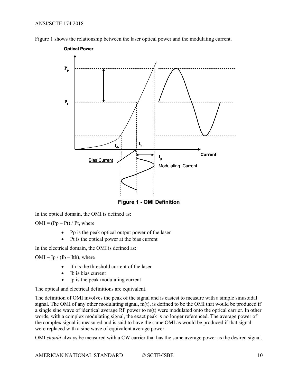



**Figure 1 - OMI Definition**

<span id="page-9-0"></span>In the optical domain, the OMI is defined as:

 $OMI = (Pp - Pt) / Pt$ , where

- Pp is the peak optical output power of the laser
- Pt is the optical power at the bias current

In the electrical domain, the OMI is defined as:

 $OMI = Ip / (Ib - Ith)$ , where

- Ith is the threshold current of the laser
- Ib is bias current
- Ip is the peak modulating current

The optical and electrical definitions are equivalent.

The definition of OMI involves the peak of the signal and is easiest to measure with a simple sinusoidal signal. The OMI of any other modulating signal, m(t), is defined to be the OMI that would be produced if a single sine wave of identical average RF power to m(t) were modulated onto the optical carrier. In other words, with a complex modulating signal, the exact peak is no longer referenced. The average power of the complex signal is measured and is said to have the same OMI as would be produced if that signal were replaced with a sine wave of equivalent average power.

OMI *should* always be measured with a CW carrier that has the same average power as the desired signal.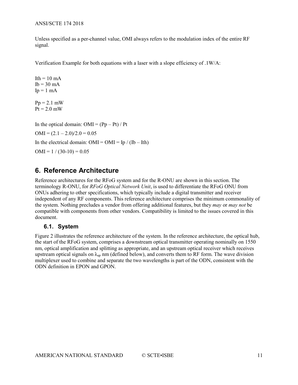ANSI/SCTE 174 2018

Unless specified as a per-channel value, OMI always refers to the modulation index of the entire RF signal.

Verification Example for both equations with a laser with a slope efficiency of .1W/A:

Ith  $= 10$  mA  $Ib = 30$  mA  $Ip = 1$  mA  $Pp = 2.1$  mW  $Pt = 2.0$  mW In the optical domain:  $OMI = (Pp - Pt) / Pt$  $OMI = (2.1 - 2.0)/2.0 = 0.05$ In the electrical domain:  $OMI = OMI = Ip / (Ib - Ith)$  $OMI = 1 / (30-10) = 0.05$ 

## <span id="page-10-0"></span>**6. Reference Architecture**

Reference architectures for the RFoG system and for the R-ONU are shown in this section. The terminology R-ONU, for *RFoG Optical Network Unit*, is used to differentiate the RFoG ONU from ONUs adhering to other specifications, which typically include a digital transmitter and receiver independent of any RF components. This reference architecture comprises the minimum commonality of the system. Nothing precludes a vendor from offering additional features, but they *may* or *may not* be compatible with components from other vendors. Compatibility is limited to the issues covered in this document.

#### <span id="page-10-1"></span>**6.1. System**

[Figure 2](#page-11-1) illustrates the reference architecture of the system. In the reference architecture, the optical hub, the start of the RFoG system, comprises a downstream optical transmitter operating nominally on 1550 nm, optical amplification and splitting as appropriate, and an upstream optical receiver which receives upstream optical signals on  $\lambda_{\rm up}$  nm (defined below), and converts them to RF form. The wave division multiplexer used to combine and separate the two wavelengths is part of the ODN, consistent with the ODN definition in EPON and GPON.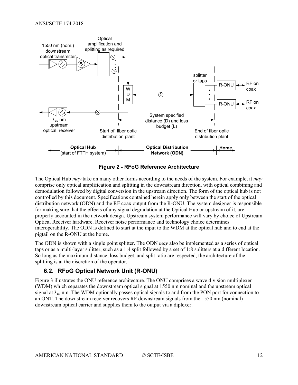

**Figure 2 - RFoG Reference Architecture**

<span id="page-11-1"></span>The Optical Hub *may* take on many other forms according to the needs of the system. For example, it *may* comprise only optical amplification and splitting in the downstream direction, with optical combining and demodulation followed by digital conversion in the upstream direction. The form of the optical hub is not controlled by this document. Specifications contained herein apply only between the start of the optical distribution network (ODN) and the RF coax output from the R-ONU. The system designer is responsible for making sure that the effects of any signal degradation at the Optical Hub or upstream of it, are properly accounted in the network design. Upstream system performance will vary by choice of Upstream Optical Receiver hardware. Receiver noise performance and technology choice determines interoperability. The ODN is defined to start at the input to the WDM at the optical hub and to end at the pigtail on the R-ONU at the home.

The ODN is shown with a single point splitter. The ODN *may* also be implemented as a series of optical taps or as a multi-layer splitter, such as a 1:4 split followed by a set of 1:8 splitters at a different location. So long as the maximum distance, loss budget, and split ratio are respected, the architecture of the splitting is at the discretion of the operator.

#### <span id="page-11-0"></span>**6.2. RFoG Optical Network Unit (R-ONU)**

[Figure 3](#page-12-2) illustrates the ONU reference architecture. The ONU comprises a wave division multiplexer (WDM) which separates the downstream optical signal at 1550 nm nominal and the upstream optical signal at  $\lambda_{\rm up}$  nm. The WDM optionally passes optical signals to and from the PON port for connection to an ONT. The downstream receiver recovers RF downstream signals from the 1550 nm (nominal) downstream optical carrier and supplies them to the output via a diplexer.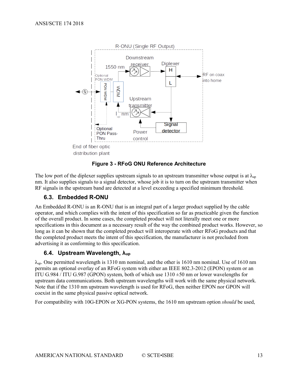

End of fiber optic distribution plant

#### **Figure 3 - RFoG ONU Reference Architecture**

<span id="page-12-2"></span>The low port of the diplexer supplies upstream signals to an upstream transmitter whose output is at  $\lambda_{\text{up}}$ nm. It also supplies signals to a signal detector, whose job it is to turn on the upstream transmitter when RF signals in the upstream band are detected at a level exceeding a specified minimum threshold.

#### <span id="page-12-0"></span>**6.3. Embedded R-ONU**

An Embedded R-ONU is an R-ONU that is an integral part of a larger product supplied by the cable operator, and which complies with the intent of this specification so far as practicable given the function of the overall product. In some cases, the completed product will not literally meet one or more specifications in this document as a necessary result of the way the combined product works. However, so long as it can be shown that the completed product will interoperate with other RFoG products and that the completed product meets the intent of this specification, the manufacturer is not precluded from advertising it as conforming to this specification.

#### <span id="page-12-1"></span>**6.4. Upstream Wavelength, λup**

 $\lambda_{\text{up}}$ . One permitted wavelength is 1310 nm nominal, and the other is 1610 nm nominal. Use of 1610 nm permits an optional overlay of an RFoG system with either an IEEE 802.3-2012 (EPON) system or an ITU G.984 / ITU G.987 (GPON) system, both of which use  $1310 \pm 50$  nm or lower wavelengths for upstream data communications. Both upstream wavelengths will work with the same physical network. Note that if the 1310 nm upstream wavelength is used for RFoG, then neither EPON nor GPON will coexist in the same physical passive optical network.

For compatibility with 10G-EPON or XG-PON systems, the 1610 nm upstream option *should* be used,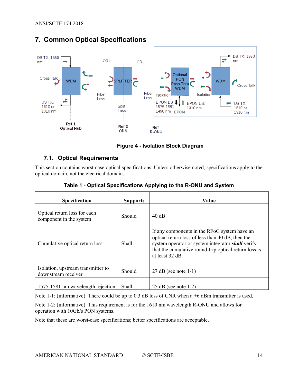

# <span id="page-13-0"></span>**7. Common Optical Specifications**

#### **Figure 4 - Isolation Block Diagram**

#### <span id="page-13-2"></span><span id="page-13-1"></span>**7.1. Optical Requirements**

<span id="page-13-3"></span>This section contains worst-case optical specifications. Unless otherwise noted, specifications apply to the optical domain, not the electrical domain.

| <b>Specification</b>                                      | <b>Supports</b> | Value                                                                                                                                                                                                                                    |
|-----------------------------------------------------------|-----------------|------------------------------------------------------------------------------------------------------------------------------------------------------------------------------------------------------------------------------------------|
| Optical return loss for each<br>component in the system   | Should          | $40 \text{ dB}$                                                                                                                                                                                                                          |
| Cumulative optical return loss                            | Shall           | If any components in the RFoG system have an<br>optical return loss of less than 40 dB, then the<br>system operator or system integrator <i>shall</i> verify<br>that the cumulative round-trip optical return loss is<br>at least 32 dB. |
| Isolation, upstream transmitter to<br>downstream receiver | Should          | $27 dB$ (see note 1-1)                                                                                                                                                                                                                   |
| 1575-1581 nm wavelength rejection                         | Shall           | $25$ dB (see note 1-2)                                                                                                                                                                                                                   |

**Table 1** - **Optical Specifications Applying to the R-ONU and System**

Note 1-1: (informative): There could be up to 0.3 dB loss of CNR when a +6 dBm transmitter is used.

Note 1-2: (informative): This requirement is for the 1610 nm wavelength R-ONU and allows for operation with 10Gb/s PON systems.

Note that these are worst-case specifications; better specifications are acceptable.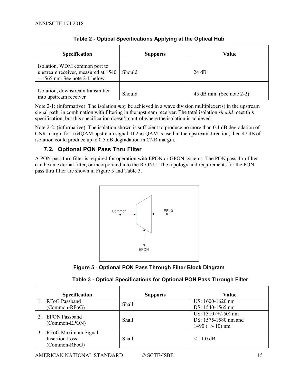<span id="page-14-2"></span>

| <b>Specification</b>                                                                                   | <b>Supports</b> | Value                     |  |  |
|--------------------------------------------------------------------------------------------------------|-----------------|---------------------------|--|--|
| Isolation, WDM common port to<br>upstream receiver, measured at 1540<br>$-1565$ nm. See note 2-1 below | Should          | 24 dB                     |  |  |
| Isolation, downstream transmitter<br>into upstream receiver                                            | Should          | 45 dB min. (See note 2-2) |  |  |

#### **Table 2 - Optical Specifications Applying at the Optical Hub**

Note 2-1: (informative): The isolation *may* be achieved in a wave division multiplexer(s) in the upstream signal path, in combination with filtering in the upstream receiver. The total isolation *should* meet this specification, but this specification doesn't control where the isolation is achieved.

Note 2-2: (informative): The isolation shown is sufficient to produce no more than 0.1 dB degradation of CNR margin for a 64QAM upstream signal. If 256-QAM is used in the upstream direction, then 47 dB of isolation could produce up to 0.5 dB degradation in CNR margin.

#### <span id="page-14-0"></span>**7.2. Optional PON Pass Thru Filter**

A PON pass thru filter is required for operation with EPON or GPON systems. The PON pass thru filter can be an external filter, or incorporated into the R-ONU. The topology and requirements for the PON pass thru filter are shown in [Figure 5](#page-14-1) and [Table 3.](#page-14-3)



**Figure 5** - **Optional PON Pass Through Filter Block Diagram**

|  | Table 3 - Optical Specifications for Optional PON Pass Through Filter |  |  |  |
|--|-----------------------------------------------------------------------|--|--|--|
|  |                                                                       |  |  |  |

<span id="page-14-3"></span><span id="page-14-1"></span>

|                | <b>Specification</b>                                             | <b>Supports</b> | Value                                                               |
|----------------|------------------------------------------------------------------|-----------------|---------------------------------------------------------------------|
|                | RFoG Passband                                                    | Shall           | US: 1600-1620 nm                                                    |
|                | (Common-RFoG)                                                    |                 | DS: 1540-1565 nm                                                    |
| 2 <sup>1</sup> | <b>EPON Passband</b><br>(Common-EPON)                            | <b>Shall</b>    | US: $1310 (+/-50)$ nm<br>DS: 1575-1580 nm and<br>1490 $(+/- 10)$ nm |
|                | 3. RFoG Maximum Signal<br><b>Insertion Loss</b><br>(Common-RFoG) | Shall           | $\leq$ 1.0 dB                                                       |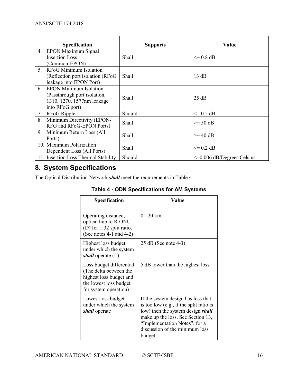|    | <b>Specification</b>                 | <b>Supports</b> | Value                            |
|----|--------------------------------------|-----------------|----------------------------------|
| 4. | EPON Maximum Signal                  |                 |                                  |
|    | <b>Insertion Loss</b>                | Shall           | $\leq$ 0.8 dB                    |
|    | (Common-EPON)                        |                 |                                  |
| 5. | <b>RFoG Minimum Isolation</b>        |                 |                                  |
|    | (Reflection port isolation (RFoG)    | <b>Shall</b>    | 13 dB                            |
|    | leakage into EPON Port)              |                 |                                  |
| 6. | <b>EPON Minimum Isolation</b>        |                 |                                  |
|    | (Passthrough port isolation,         | Shall           | 25 dB                            |
|    | 1310, 1270, 1577nm leakage           |                 |                                  |
|    | into RFoG port)                      |                 |                                  |
| 7. | RFoG Ripple                          | Should          | $\leq$ 0.5 dB                    |
| 8. | Minimum Directivity (EPON-           | Shall           | $\geq$ 50 dB                     |
|    | RFG and RFoG-EPON Ports)             |                 |                                  |
| 9. | Minimum Return Loss (All             | Shall           | $>= 40$ dB                       |
|    | Ports)                               |                 |                                  |
|    | 10. Maximum Polarization             | Shall           | $\leq$ 0.2 dB                    |
|    | Dependent Loss (All Ports)           |                 |                                  |
|    | 11. Insertion Loss Thermal Stability | Should          | $\leq$ =0.006 dB/Degrees Celsius |

# <span id="page-15-0"></span>**8. System Specifications**

<span id="page-15-1"></span>The Optical Distribution Network *shall* meet the requirements in [Table 4.](#page-15-1)

| <b>Table 4 - ODN Specifications for AM Systems</b>                                                                               |                                                                                                                                                                                                                                       |  |  |
|----------------------------------------------------------------------------------------------------------------------------------|---------------------------------------------------------------------------------------------------------------------------------------------------------------------------------------------------------------------------------------|--|--|
| Specification                                                                                                                    | Value                                                                                                                                                                                                                                 |  |  |
| Operating distance,<br>optical hub to R-ONU<br>(D) for $1:32$ split ratio.<br>(See notes $4-1$ and $4-2$ )                       | 0 - 20 km                                                                                                                                                                                                                             |  |  |
| Highest loss budget<br>under which the system<br><i>shall</i> operate $(L)$                                                      | $25 dB$ (See note 4-3)                                                                                                                                                                                                                |  |  |
| Loss budget differential<br>(The delta between the<br>highest loss budget and<br>the lowest loss budget<br>for system operation) | 5 dB lower than the highest loss.                                                                                                                                                                                                     |  |  |
| Lowest loss budget<br>under which the system<br>shall operate                                                                    | If the system design has loss that<br>is too low (e.g., if the split ratio is<br>low) then the system design shall<br>make up the loss. See Section 13,<br>"Implementation Notes", for a<br>discussion of the minimum loss<br>budget. |  |  |

## **Table 4 - ODN Specifications for AM Systems**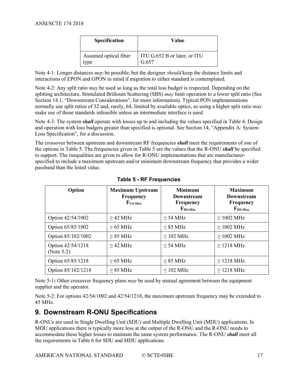| <b>Specification</b>  | Value                        |
|-----------------------|------------------------------|
| Assumed optical fiber | ITU G.652 B or later, or ITU |
| type                  | G.657                        |

Note 4-1: Longer distances *may* be possible, but the designer *should* keep the distance limits and interactions of EPON and GPON in mind if migration to either standard is contemplated.

Note 4-2: Any split ratio *may* be used so long as the total loss budget is respected. Depending on the splitting architecture, Stimulated Brillouin Scattering (SBS) *may* limit operation to a lower split ratio (See Sectio[n 14.1,](#page-28-1) ["Downstream C](#page-28-1)onsiderations", for more information). Typical PON implementations normally use split ratios of 32 and, rarely, 64, limited by available optics, so using a higher split ratio *may* make use of those standards infeasible unless an intermediate interface is used.

Note 4-3: The system *shall* operate with losses up to and including the values specified in [Table 4.](#page-15-1) Design and operation with loss budgets greater than specified is optional. See Section [14,](#page-28-0) ["Appendix A: System](#page-28-0)  [Loss Specification"](#page-28-0), for a discussion.

The crossover between upstream and downstream RF frequencies *shall* meet the requirements of one of the options i[n Table 5.](#page-16-1) The frequencies given in [Table 5](#page-16-1) are the values that the R-ONU *shall* be specified to support. The inequalities are given to allow for R-ONU implementations that are manufacturerspecified to include a maximum upstream and/or minimum downstream frequency that provides a wider passband than the listed value.

<span id="page-16-1"></span>

| Option                             | <b>Maximum Upstream</b><br>Frequency<br>$F_{US-Max}$ | <b>Minimum</b><br>Downstream<br>Frequency<br>$F_{DS-Min}$ | <b>Maximum</b><br>Downstream<br><b>Frequency</b><br>$F_{DS-Max}$ |
|------------------------------------|------------------------------------------------------|-----------------------------------------------------------|------------------------------------------------------------------|
| Option 42/54/1002                  | $\geq$ 42 MHz                                        | $\leq$ 54 MHz                                             | $\geq$ 1002 MHz                                                  |
| Option 65/85/1002                  | $\geq$ 65 MHz                                        | $\leq$ 85 MHz                                             | $\geq$ 1002 MHz                                                  |
| Option 85/102/1002                 | $\geq$ 85 MHz                                        | $\leq$ 102 MHz                                            | $\geq$ 1002 MHz                                                  |
| Option 42/54/1218<br>(Note $5-2$ ) | $>$ 42 MHz                                           | $\leq$ 54 MHz                                             | $\geq$ 1218 MHz                                                  |
| Option 65/85/1218                  | $\geq$ 65 MHz                                        | $\leq$ 85 MHz                                             | $\geq$ 1218 MHz                                                  |
| Option 85/102/1218                 | $\geq$ 85 MHz                                        | $\leq$ 102 MHz                                            | $\geq$ 1218 MHz                                                  |

**Table 5 - RF Frequencies**

Note 5-1**:** Other crossover frequency plans *may* be used by mutual agreement between the equipment supplier and the operator.

Note 5-2: For options 42/54/1002 and 42/54/1218, the maximum upstream frequency may be extended to 45 MHz.

# <span id="page-16-0"></span>**9. Downstream R-ONU Specifications**

R-ONUs are used in Single Dwelling Unit (SDU) and Multiple Dwelling Unit (MDU) applications. In MDU applications there is typically more loss at the output of the R-ONU and the R-ONU needs to accommodate these higher losses to maintain the same system performance. The R-ONU *shall* meet all the requirements i[n Table 6](#page-17-2) for SDU and MDU applications.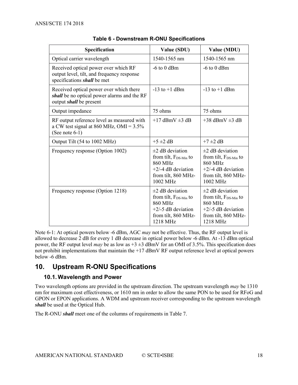<span id="page-17-2"></span>

| <b>Specification</b>                                                                                                     | Value (SDU)                                                                                                              | Value (MDU)                                                                                                                     |
|--------------------------------------------------------------------------------------------------------------------------|--------------------------------------------------------------------------------------------------------------------------|---------------------------------------------------------------------------------------------------------------------------------|
| Optical carrier wavelength                                                                                               | 1540-1565 nm                                                                                                             | 1540-1565 nm                                                                                                                    |
| Received optical power over which RF<br>output level, tilt, and frequency response<br>specifications <i>shall</i> be met | $-6$ to 0 dBm                                                                                                            | $-6$ to 0 dBm                                                                                                                   |
| Received optical power over which there<br>shall be no optical power alarms and the RF<br>output <i>shall</i> be present | $-13$ to $+1$ dBm                                                                                                        | $-13$ to $+1$ dBm                                                                                                               |
| Output impedance                                                                                                         | 75 ohms                                                                                                                  | 75 ohms                                                                                                                         |
| RF output reference level as measured with<br>a CW test signal at 860 MHz, OMI = $3.5\%$<br>(See note $6-1$ )            | $+17$ dBmV $\pm$ 3 dB                                                                                                    | $+38$ dBmV $\pm 3$ dB                                                                                                           |
| Output Tilt (54 to 1002 MHz)                                                                                             | $+5 \pm 2$ dB                                                                                                            | $+7 \pm 2$ dB                                                                                                                   |
| Frequency response (Option 1002)                                                                                         | $\pm 2$ dB deviation<br>from tilt, $F_{DS-Min}$ to<br>860 MHz<br>$+2/4$ dB deviation<br>from tilt, 860 MHz-<br>1002 MHz  | $\pm 2$ dB deviation<br>from tilt, $F_{DS-Min}$ to<br>860 MHz<br>$+2/4$ dB deviation<br>from tilt, 860 MHz-<br>1002 MHz         |
| Frequency response (Option 1218)                                                                                         | $\pm 2$ dB deviation<br>from tilt, $F_{DS-Min}$ to<br>860 MHz<br>$+2/-5$ dB deviation<br>from tilt, 860 MHz-<br>1218 MHz | $\pm 2$ dB deviation<br>from tilt, $F_{DS-Min}$ to<br><b>860 MHz</b><br>$+2/-5$ dB deviation<br>from tilt, 860 MHz-<br>1218 MHz |

Note 6-1: At optical powers below -6 dBm, AGC *may* not be effective. Thus, the RF output level is allowed to decrease 2 dB for every 1 dB decrease in optical power below -6 dBm. At -13 dBm optical power, the RF output level *may* be as low as  $+3 \pm 3$  dBmV for an OMI of 3.5%. This specification does not prohibit implementations that maintain the +17 dBmV RF output reference level at optical powers below -6 dBm.

# <span id="page-17-0"></span>**10. Upstream R-ONU Specifications**

#### <span id="page-17-1"></span>**10.1. Wavelength and Power**

Two wavelength options are provided in the upstream direction. The upstream wavelength *may* be 1310 nm for maximum cost effectiveness, or 1610 nm in order to allow the same PON to be used for RFoG and GPON or EPON applications. A WDM and upstream receiver corresponding to the upstream wavelength *shall* be used at the Optical Hub.

The R-ONU *shall* meet one of the columns of requirements in [Table 7.](#page-18-1)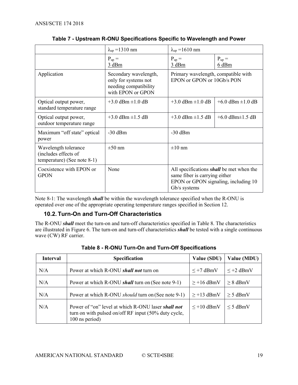<span id="page-18-1"></span>

|                                                                             | $\lambda_{\rm up}$ = 1310 nm                                                                | $\lambda_{\text{up}}$ =1610 nm                                                        |                                                 |
|-----------------------------------------------------------------------------|---------------------------------------------------------------------------------------------|---------------------------------------------------------------------------------------|-------------------------------------------------|
|                                                                             | $P_{up} =$<br>3 dBm                                                                         | $P_{up} =$<br>3 dBm                                                                   | $P_{up} =$<br>6 dBm                             |
| Application                                                                 | Secondary wavelength,<br>only for systems not<br>needing compatibility<br>with EPON or GPON | Primary wavelength, compatible with<br>EPON or GPON or 10Gb/s PON                     |                                                 |
| Optical output power,<br>standard temperature range                         | $+3.0$ dBm $\pm 1.0$ dB                                                                     | $+3.0$ dBm $\pm 1.0$ dB                                                               | $+6.0$ dBm $\pm 1.0$ dB                         |
| Optical output power,<br>outdoor temperature range                          | $+3.0$ dBm $\pm 1.5$ dB                                                                     | $+3.0$ dBm $\pm 1.5$ dB                                                               | $+6.0$ dBm $\pm 1.5$ dB                         |
| Maximum "off state" optical<br>power                                        | $-30$ dBm                                                                                   | $-30$ dBm                                                                             |                                                 |
| Wavelength tolerance<br>(includes effects of<br>temperature) (See note 8-1) | $\pm 50$ nm                                                                                 | $\pm 10$ nm                                                                           |                                                 |
| Coexistence with EPON or<br><b>GPON</b>                                     | None                                                                                        | same fiber is carrying either<br>EPON or GPON signaling, including 10<br>Gb/s systems | All specifications <i>shall</i> be met when the |

| Table 7 - Upstream R-ONU Specifications Specific to Wavelength and Power |  |
|--------------------------------------------------------------------------|--|
|--------------------------------------------------------------------------|--|

Note 8-1: The wavelength *shall* be within the wavelength tolerance specified when the R-ONU is operated over one of the appropriate operating temperature ranges specified in Section [12.](#page-23-0)

#### <span id="page-18-0"></span>**10.2. Turn-On and Turn-Off Characteristics**

The R-ONU *shall* meet the turn-on and turn-off characteristics specified i[n Table 8.](#page-18-2) The characteristics are illustrated in [Figure 6.](#page-21-1) The turn-on and turn-off characteristics *shall* be tested with a single continuous wave (CW) RF carrier.

<span id="page-18-2"></span>

| <b>Interval</b> | <b>Specification</b>                                                                                                         | Value (SDU)     | Value (MDU)    |
|-----------------|------------------------------------------------------------------------------------------------------------------------------|-----------------|----------------|
| N/A             | Power at which R-ONU <i>shall not</i> turn on                                                                                | $\leq$ +7 dBmV  | $\leq$ +2 dBmV |
| N/A             | Power at which R-ONU <i>shall</i> turn on (See note 9-1)                                                                     | $\geq$ +16 dBmV | $\geq 8$ dBmV  |
| N/A             | Power at which R-ONU <i>should</i> turn on (See note 9-1)                                                                    | $\geq$ +13 dBmV | $\geq$ 5 dBmV  |
| N/A             | Power of "on" level at which R-ONU laser shall not<br>turn on with pulsed on/off RF input (50% duty cycle,<br>100 ns period) | $\leq$ +10 dBmV | $\leq$ 5 dBmV  |

**Table 8 - R-ONU Turn-On and Turn-Off Specifications**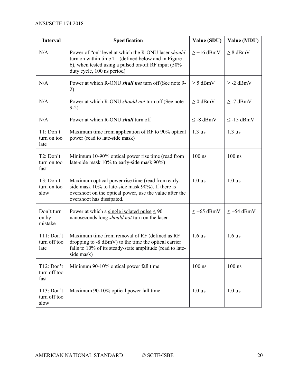| <b>Interval</b>                    | Specification                                                                                                                                                                                      | Value (SDU)     | Value (MDU)     |
|------------------------------------|----------------------------------------------------------------------------------------------------------------------------------------------------------------------------------------------------|-----------------|-----------------|
| N/A                                | Power of "on" level at which the R-ONU laser should<br>turn on within time T1 (defined below and in Figure<br>6), when tested using a pulsed on/off RF input $(50\%$<br>duty cycle, 100 ns period) | $\geq$ +16 dBmV | $\geq 8$ dBmV   |
| N/A                                | Power at which R-ONU shall not turn off (See note 9-<br>2)                                                                                                                                         | $\geq$ 5 dBmV   | $\geq$ -2 dBmV  |
| N/A                                | Power at which R-ONU <i>should not</i> turn off (See note<br>$9-2)$                                                                                                                                | $\geq 0$ dBmV   | $\geq$ -7 dBmV  |
| N/A                                | Power at which R-ONU shall turn off                                                                                                                                                                | $\leq$ -8 dBmV  | $\leq$ -15 dBmV |
| T1: Don't<br>turn on too<br>late   | Maximum time from application of RF to 90% optical<br>power (read to late-side mask)                                                                                                               | $1.3 \mu s$     | $1.3 \mu s$     |
| T2: Don't<br>turn on too<br>fast   | Minimum 10-90% optical power rise time (read from<br>late-side mask 10% to early-side mask 90%)                                                                                                    | $100$ ns        | $100$ ns        |
| T3: Don't<br>turn on too<br>slow   | Maximum optical power rise time (read from early-<br>side mask 10% to late-side mask 90%). If there is<br>overshoot on the optical power, use the value after the<br>overshoot has dissipated.     | $1.0 \mu s$     | $1.0 \mu s$     |
| Don't turn<br>on by<br>mistake     | Power at which a single isolated pulse $\leq 90$<br>nanoseconds long should not turn on the laser                                                                                                  | $\leq +65$ dBmV | $\leq$ +54 dBmV |
| T11: Don't<br>turn off too<br>late | Maximum time from removal of RF (defined as RF<br>dropping to -8 dBmV) to the time the optical carrier<br>falls to 10% of its steady-state amplitude (read to late-<br>side mask)                  | $1.6 \mu s$     | $1.6 \mu s$     |
| T12: Don't<br>turn off too<br>fast | Minimum 90-10% optical power fall time                                                                                                                                                             | $100$ ns        | $100$ ns        |
| T13: Don't<br>turn off too<br>slow | Maximum 90-10% optical power fall time                                                                                                                                                             | $1.0 \mu s$     | $1.0 \mu s$     |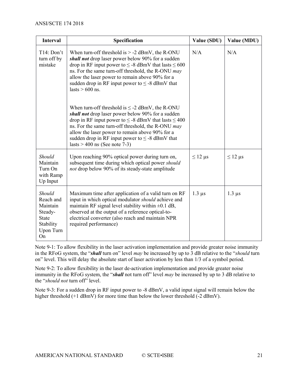| <b>Interval</b>                                                                                   | Specification                                                                                                                                                                                                                                                                                                                                                                   | Value (SDU)  | Value (MDU)  |
|---------------------------------------------------------------------------------------------------|---------------------------------------------------------------------------------------------------------------------------------------------------------------------------------------------------------------------------------------------------------------------------------------------------------------------------------------------------------------------------------|--------------|--------------|
| T14:Don't<br>turn off by<br>mistake                                                               | When turn-off threshold is $> -2$ dBmV, the R-ONU<br>shall not drop laser power below 90% for a sudden<br>drop in RF input power to $\leq$ -8 dBmV that lasts $\leq$ 600<br>ns. For the same turn-off threshold, the R-ONU may<br>allow the laser power to remain above 90% for a<br>sudden drop in RF input power to $\leq$ -8 dBmV that<br>lasts $> 600$ ns.                  | N/A          | N/A          |
|                                                                                                   | When turn-off threshold is $\leq$ -2 dBmV, the R-ONU<br>shall not drop laser power below 90% for a sudden<br>drop in RF input power to $\leq$ -8 dBmV that lasts $\leq$ 400<br>ns. For the same turn-off threshold, the R-ONU may<br>allow the laser power to remain above 90% for a<br>sudden drop in RF input power to $\leq$ -8 dBmV that<br>lasts $>$ 400 ns (See note 7-3) |              |              |
| <b>Should</b><br>Maintain<br>Turn On<br>with Ramp<br>Up Input                                     | Upon reaching 90% optical power during turn on,<br>subsequent time during which optical power should<br>not drop below 90% of its steady-state amplitude                                                                                                                                                                                                                        | $\leq$ 12 µs | $\leq$ 12 µs |
| <b>Should</b><br>Reach and<br>Maintain<br>Steady-<br><b>State</b><br>Stability<br>Upon Turn<br>On | Maximum time after application of a valid turn on RF<br>input in which optical modulator should achieve and<br>maintain RF signal level stability within $\pm 0.1$ dB,<br>observed at the output of a reference optical-to-<br>electrical converter (also reach and maintain NPR<br>required performance)                                                                       | $1.3 \mu s$  | $1.3 \mu s$  |

Note 9-1: To allow flexibility in the laser activation implementation and provide greater noise immunity in the RFoG system, the "*shall* turn on" level *may* be increased by up to 3 dB relative to the "*should* turn on" level. This will delay the absolute start of laser activation by less than 1/3 of a symbol period.

Note 9-2: To allow flexibility in the laser de-activation implementation and provide greater noise immunity in the RFoG system, the "*shall* not turn off" level *may* be increased by up to 3 dB relative to the "*should not* turn off" level.

Note 9-3: For a sudden drop in RF input power to -8 dBmV, a valid input signal will remain below the higher threshold (+1 dBmV) for more time than below the lower threshold (-2 dBmV).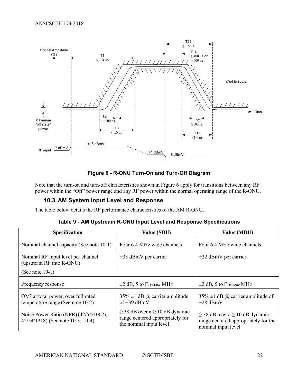

#### **Figure 6 - R-ONU Turn-On and Turn-Off Diagram**

<span id="page-21-1"></span>Note that the turn-on and turn-off characteristics shown i[n Figure 6](#page-21-1) apply for transitions between any RF power within the "Off" power range and any RF power within the normal operating range of the R-ONU.

#### <span id="page-21-0"></span>**10.3. AM System Input Level and Response**

<span id="page-21-2"></span>The table below details the RF performance characteristics of the AM R-ONU.

| Specification                                                              | Value (SDU)                                                                                             | Value (MDU)                                                                                             |  |  |
|----------------------------------------------------------------------------|---------------------------------------------------------------------------------------------------------|---------------------------------------------------------------------------------------------------------|--|--|
| Nominal channel capacity (See note 10-1)                                   | Four 6.4 MHz wide channels                                                                              | Four 6.4 MHz wide channels                                                                              |  |  |
| Nominal RF input level per channel<br>(upstream RF into R-ONU)             | $+33$ dBmV per carrier                                                                                  | +22 dBmV per carrier                                                                                    |  |  |
| (See note $10-1$ )                                                         |                                                                                                         |                                                                                                         |  |  |
| Frequency response                                                         | $\pm 2$ dB, 5 to F <sub>US-Max</sub> MHz                                                                | $\pm 2$ dB, 5 to F <sub>US-Max</sub> MHz                                                                |  |  |
| OMI at total power, over full rated<br>temperature range (See note 10-2)   | $35\% \pm 1$ dB @ carrier amplitude<br>of $+39$ dBmV                                                    | $35\% \pm 1$ dB @ carrier amplitude of<br>$+28$ dBmV                                                    |  |  |
| Noise Power Ratio (NPR) (42/54/1002),<br>42/54/1218) (See note 10-3, 10-4) | $\geq$ 38 dB over a $\geq$ 10 dB dynamic<br>range centered appropriately for<br>the nominal input level | $\geq$ 38 dB over a $\geq$ 10 dB dynamic<br>range centered appropriately for the<br>nominal input level |  |  |

| Table 9 - AM Upstream R-ONU Input Level and Response Specifications |  |  |
|---------------------------------------------------------------------|--|--|
|                                                                     |  |  |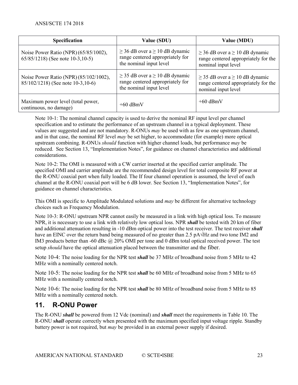| <b>Specification</b>                                                         | Value (SDU)                                                                                             | Value (MDU)                                                                                             |
|------------------------------------------------------------------------------|---------------------------------------------------------------------------------------------------------|---------------------------------------------------------------------------------------------------------|
| Noise Power Ratio (NPR) (65/85/1002),<br>$65/85/1218$ ) (See note 10-3,10-5) | $\geq$ 36 dB over a $\geq$ 10 dB dynamic<br>range centered appropriately for<br>the nominal input level | $\geq$ 36 dB over a $\geq$ 10 dB dynamic<br>range centered appropriately for the<br>nominal input level |
| Noise Power Ratio (NPR) (85/102/1002),<br>85/102/1218) (See note 10-3,10-6)  | $\geq$ 35 dB over a $\geq$ 10 dB dynamic<br>range centered appropriately for<br>the nominal input level | $\geq$ 35 dB over a $\geq$ 10 dB dynamic<br>range centered appropriately for the<br>nominal input level |
| Maximum power level (total power,<br>continuous, no damage)                  | $+60$ dBmV                                                                                              | $+60$ dBmV                                                                                              |

Note 10-1: The nominal channel capacity is used to derive the nominal RF input level per channel specification and to estimate the performance of an upstream channel in a typical deployment. These values are suggested and are not mandatory. R-ONUs *may* be used with as few as one upstream channel, and in that case, the nominal RF level *may* be set higher, to accommodate (for example) more optical upstream combining. R-ONUs *should* function with higher channel loads, but performance *may* be reduced. See Section [13,](#page-25-2) "Implementation Notes", for guidance on channel characteristics and additional considerations.

Note 10-2: The OMI is measured with a CW carrier inserted at the specified carrier amplitude. The specified OMI and carrier amplitude are the recommended design level for total composite RF power at the R-ONU coaxial port when fully loaded. The If four channel operation is assumed, the level of each channel at the R-ONU coaxial port will be 6 dB lower. See Section [13,](#page-25-2) "Implementation Notes", for guidance on channel characteristics.

This OMI is specific to Amplitude Modulated solutions and *may* be different for alternative technology choices such as Frequency Modulation.

Note 10-3: R-ONU upstream NPR cannot easily be measured in a link with high optical loss. To measure NPR, it is necessary to use a link with relatively low optical loss. NPR *shall* be tested with 20 km of fiber and additional attenuation resulting in -10 dBm optical power into the test receiver. The test receiver *shall* have an EINC over the return band being measured of no greater than 2.5 pA√Hz and two tone IM2 and IM3 products better than -60 dBc @ 20% OMI per tone and 0 dBm total optical received power. The test setup *should* have the optical attenuation placed between the transmitter and the fiber.

Note 10-4: The noise loading for the NPR test *shall* be 37 MHz of broadband noise from 5 MHz to 42 MHz with a nominally centered notch.

Note 10-5: The noise loading for the NPR test *shall* be 60 MHz of broadband noise from 5 MHz to 65 MHz with a nominally centered notch.

Note 10-6: The noise loading for the NPR test *shall* be 80 MHz of broadband noise from 5 MHz to 85 MHz with a nominally centered notch.

## <span id="page-22-0"></span>**11. R-ONU Power**

The R-ONU *shall* be powered from 12 Vdc (nominal) and *shall* meet the requirements in [Table 10.](#page-23-8) The R-ONU *shall* operate correctly when presented with the maximum specified input voltage ripple. Standby battery power is not required, but *may* be provided in an external power supply if desired.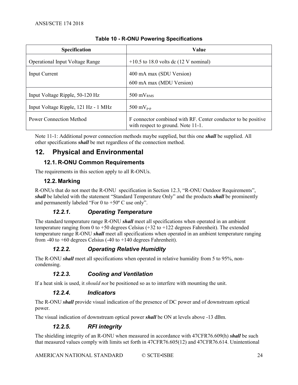<span id="page-23-8"></span>

| <b>Specification</b>                   | Value                                                                                               |
|----------------------------------------|-----------------------------------------------------------------------------------------------------|
| <b>Operational Input Voltage Range</b> | $+10.5$ to 18.0 volts dc (12 V nominal)                                                             |
| Input Current                          | 400 mA max (SDU Version)                                                                            |
|                                        | 600 mA max (MDU Version)                                                                            |
| Input Voltage Ripple, 50-120 Hz        | $500 \text{ mV}_{RMS}$                                                                              |
| Input Voltage Ripple, 121 Hz - 1 MHz   | 500 m $V_{p-p}$                                                                                     |
| <b>Power Connection Method</b>         | F connector combined with RF. Center conductor to be positive<br>with respect to ground. Note 11-1. |

#### **Table 10 - R-ONU Powering Specifications**

Note 11-1: Additional power connection methods maybe supplied, but this one *shall* be supplied. All other specifications *shall* be met regardless of the connection method.

# <span id="page-23-0"></span>**12. Physical and Environmental**

#### <span id="page-23-1"></span>**12.1. R-ONU Common Requirements**

<span id="page-23-2"></span>The requirements in this section apply to all R-ONUs.

#### **12.2. Marking**

R-ONUs that do not meet the [R-ONU](#page-25-1) specification in Section [12.3,](#page-24-4) "R-ONU Outdoor Requirements", *shall* be labeled with the statement "Standard Temperature Only" and the products *shall* be prominently and permanently labeled "For 0 to  $+50^{\circ}$  C use only".

## *12.2.1. Operating Temperature*

<span id="page-23-3"></span>The standard temperature range R-ONU *shall* meet all specifications when operated in an ambient temperature ranging from 0 to  $+50$  degrees Celsius ( $+32$  to  $+122$  degrees Fahrenheit). The extended temperature range R-ONU *shall* meet all specifications when operated in an ambient temperature ranging from -40 to +60 degrees Celsius (-40 to +140 degrees Fahrenheit).

#### *12.2.2. Operating Relative Humidity*

<span id="page-23-5"></span><span id="page-23-4"></span>The R-ONU *shall* meet all specifications when operated in relative humidity from 5 to 95%, noncondensing.

#### *12.2.3. Cooling and Ventilation*

<span id="page-23-6"></span>If a heat sink is used, it *should not* be positioned so as to interfere with mounting the unit.

#### *12.2.4. Indicators*

The R-ONU *shall* provide visual indication of the presence of DC power and of downstream optical power.

<span id="page-23-7"></span>The visual indication of downstream optical power *shall* be ON at levels above -13 dBm.

## *12.2.5. RFI integrity*

The shielding integrity of an R-ONU when measured in accordance with 47CFR76.609(h) *shall* be such that measured values comply with limits set forth in 47CFR76.605(12) and 47CFR76.614. Unintentional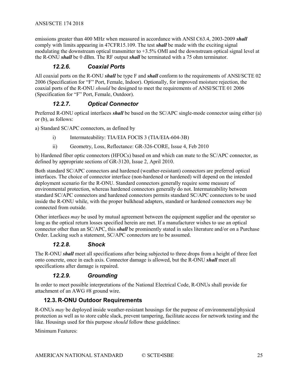emissions greater than 400 MHz when measured in accordance with ANSI C63.4, 2003-2009 *shall* comply with limits appearing in 47CFR15.109. The test *shall* be made with the exciting signal modulating the downstream optical transmitter to +3.5% OMI and the downstream optical signal level at the R-ONU *shall* be 0 dBm. The RF output *shall* be terminated with a 75 ohm terminator.

#### *12.2.6. Coaxial Ports*

<span id="page-24-0"></span>All coaxial ports on the R-ONU *shall* be type F and *shall* conform to the requirements of ANSI/SCTE 02 2006 (Specification for "F" Port, Female, Indoor). Optionally, for improved moisture rejection, the coaxial ports of the R-ONU *should* be designed to meet the requirements of ANSI/SCTE 01 2006 (Specification for "F" Port, Female, Outdoor).

#### *12.2.7. Optical Connector*

<span id="page-24-1"></span>Preferred R-ONU optical interfaces *shall* be based on the SC/APC single-mode connector using either (a) or (b), as follows:

a) Standard SC/APC connectors, as defined by

- i) Intermateability: TIA/EIA FOCIS 3 (TIA/EIA-604-3B)
- ii) Geometry, Loss, Reflectance: GR-326-CORE, Issue 4, Feb 2010

b) Hardened fiber optic connectors (HFOCs) based on and which can mate to the SC/APC connector, as defined by appropriate sections of GR-3120, Issue 2, April 2010.

Both standard SC/APC connectors and hardened (weather-resistant) connectors are preferred optical interfaces. The choice of connector interface (non-hardened or hardened) will depend on the intended deployment scenario for the R-ONU. Standard connectors generally require some measure of environmental protection, whereas hardened connectors generally do not. Intermateability between standard SC/APC connectors and hardened connectors permits standard SC/APC connectors to be used inside the R-ONU while, with the proper bulkhead adapters, standard or hardened connectors *may* be connected from outside.

Other interfaces *may* be used by mutual agreement between the equipment supplier and the operator so long as the optical return losses specified herein are met. If a manufacturer wishes to use an optical connector other than an SC/APC, this *shall* be prominently stated in sales literature and/or on a Purchase Order. Lacking such a statement, SC/APC connectors are to be assumed.

#### *12.2.8. Shock*

<span id="page-24-2"></span>The R-ONU *shall* meet all specifications after being subjected to three drops from a height of three feet onto concrete, once in each axis. Connector damage is allowed, but the R-ONU *shall* meet all specifications after damage is repaired.

#### *12.2.9. Grounding*

<span id="page-24-3"></span>In order to meet possible interpretations of the National Electrical Code, R-ONUs shall provide for attachment of an AWG #8 ground wire.

#### <span id="page-24-4"></span>**12.3. R-ONU Outdoor Requirements**

R-ONUs *may* be deployed inside weather-resistant housings for the purpose of environmental/physical protection as well as to store cable slack, prevent tampering, facilitate access for network testing and the like. Housings used for this purpose *should* follow these guidelines:

Minimum Features: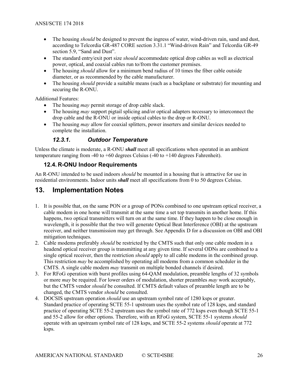- The housing *should* be designed to prevent the ingress of water, wind-driven rain, sand and dust, according to Telcordia GR-487 CORE section 3.31.1 "Wind-driven Rain" and Telcordia GR-49 section 5.9, "Sand and Dust".
- The standard entry/exit port size *should* accommodate optical drop cables as well as electrical power, optical, and coaxial cables run to/from the customer premises.
- The housing *should* allow for a minimum bend radius of 10 times the fiber cable outside diameter, or as recommended by the cable manufacturer.
- The housing *should* provide a suitable means (such as a backplane or substrate) for mounting and securing the R-ONU.

Additional Features:

- The housing *may* permit storage of drop cable slack.
- The housing *may* support pigtail splicing and/or optical adapters necessary to interconnect the drop cable and the R-ONU or inside optical cables to the drop or R-ONU.
- The housing *may* allow for coaxial splitters, power inserters and similar devices needed to complete the installation.

#### *12.3.1. Outdoor Temperature*

<span id="page-25-0"></span>Unless the climate is moderate, a R-ONU *shall* meet all specifications when operated in an ambient temperature ranging from -40 to +60 degrees Celsius  $(-40 \text{ to } +140 \text{ degrees Fahrenheit}).$ 

#### <span id="page-25-1"></span>**12.4. R-ONU Indoor Requirements**

An R-ONU intended to be used indoors *should* be mounted in a housing that is attractive for use in residential environments. Indoor units *shall* meet all specifications from 0 to 50 degrees Celsius.

## <span id="page-25-2"></span>**13. Implementation Notes**

- 1. It is possible that, on the same PON or a group of PONs combined to one upstream optical receiver, a cable modem in one home will transmit at the same time a set top transmits in another home. If this happens, two optical transmitters will turn on at the same time. If they happen to be close enough in wavelength, it is possible that the two will generate Optical Beat Interference (OBI) at the upstream receiver, and neither transmission may get through. See Appendix D for a discussion on OBI and OBI mitigation techniques.
- 2. Cable modems preferably *should* be restricted by the CMTS such that only one cable modem in a headend optical receiver group is transmitting at any given time. If several ODNs are combined to a single optical receiver, then the restriction *should* apply to all cable modems in the combined group. This restriction *may* be accomplished by operating all modems from a common scheduler in the CMTS. A single cable modem *may* transmit on multiple bonded channels if desired.
- 3. For RFoG operation with burst profiles using 64-QAM modulation, preamble lengths of 32 symbols or more *may* be required. For lower orders of modulation, shorter preambles *may* work acceptably, but the CMTS vendor *should* be consulted. If CMTS default values of preamble length are to be changed, the CMTS vendor *should* be consulted.
- 4. DOCSIS upstream operation *should* use an upstream symbol rate of 1280 ksps or greater. Standard practice of operating SCTE 55-1 upstream uses the symbol rate of 128 ksps, and standard practice of operating SCTE 55-2 upstream uses the symbol rate of 772 ksps even though SCTE 55-1 and 55-2 allow for other options. Therefore, with an RFoG system, SCTE 55-1 systems *should* operate with an upstream symbol rate of 128 ksps, and SCTE 55-2 systems *should* operate at 772 ksps.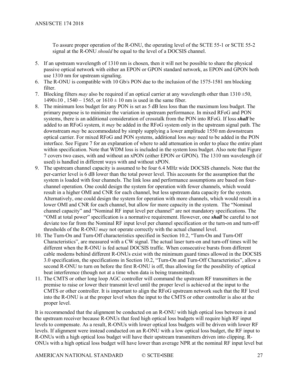To assure proper operation of the R-ONU, the operating level of the SCTE 55-1 or SCTE 55-2 signal at the R-ONU *should* be equal to the level of a DOCSIS channel.

- 5. If an upstream wavelength of 1310 nm is chosen, then it will not be possible to share the physical passive optical network with either an EPON or GPON standard network, as EPON and GPON both use 1310 nm for upstream signaling.
- 6. The R-ONU is compatible with 10 Gb/s PON due to the inclusion of the 1575-1581 nm blocking filter.
- 7. Blocking filters *may* also be required if an optical carrier at any wavelength other than  $1310 \pm 50$ ,  $1490\pm10$ ,  $1540 - 1565$ , or  $1610 \pm 10$  nm is used in the same fiber.
- 8. The minimum loss budget for any PON is set as 5 dB less loss than the maximum loss budget. The primary purpose is to minimize the variation in upstream performance. In mixed RFoG and PON systems, there is an additional consideration of crosstalk from the PON into RFoG. If loss *shall* be added to an RFoG system, it *may* be added in the RFoG system only in the upstream signal path. The downstream *may* be accommodated by simply supplying a lower amplitude 1550 nm downstream optical carrier. For mixed RFoG and PON systems, additional loss *may* need to be added in the PON interface. Se[e Figure 7](#page-27-0) for an explanation of where to add attenuation in order to place the entire plant within specification. Note that WDM loss is included in the system loss budget. Also note that [Figure](#page-27-0)  [7](#page-27-0) covers two cases, with and without an xPON (either EPON or GPON). The 1310 nm wavelength (if used) is handled in different ways with and without xPON.
- 9. The upstream channel capacity is assumed to be four 6.4 MHz wide DOCSIS channels. Note that the per-carrier level is 6 dB lower than the total power level. This accounts for the assumption that the system is loaded with four channels. The link loss and performance assumptions are based on fourchannel operation. One could design the system for operation with fewer channels, which would result in a higher OMI and CNR for each channel, but less upstream data capacity for the system. Alternatively, one could design the system for operation with more channels, which would result in a lower OMI and CNR for each channel, but allow for more capacity in the system. The "Nominal channel capacity" and "Nominal RF input level per channel" are not mandatory specifications. The "OMI at total power" specification is a normative requirement. However, one *shall* be careful to not deviate too far from the Nominal RF input level per channel specification or the turn-on and turn-off thresholds of the R-ONU *may* not operate correctly with the actual channel level.
- 10. The Turn-On and Turn-Off characteristics specified in Section [10.2,](#page-18-0) "Turn-On and Turn-Off Characteristics", are measured with a CW signal. The actual laser turn-on and turn-off times will be different when the R-ONU is fed actual DOCSIS traffic. When consecutive bursts from different cable modems behind different R-ONUs exist with the minimum guard times allowed in the DOCSIS 3.0 specification, the specifications in Sectio[n 10.2,](#page-18-0) "Turn-On and Turn-Off Characteristics", allow a second R-ONU to turn on before the first R-ONU is off, thus allowing for the possibility of optical beat interference (though not at a time when data is being transmitted).
- 11. The CMTS or other long loop AGC controller will command the upstream RF transmitters in the premise to raise or lower their transmit level until the proper level is achieved at the input to the CMTS or other controller. It is important to align the RFoG upstream network such that the RF level into the R-ONU is at the proper level when the input to the CMTS or other controller is also at the proper level.

It is recommended that the alignment be conducted on an R-ONU with high optical loss between it and the upstream receiver because R-ONUs that feed high optical loss budgets will require high RF input levels to compensate. As a result, R-ONUs with lower optical loss budgets will be driven with lower RF levels. If alignment were instead conducted on an R-ONU with a low optical loss budget, the RF input to R-ONUs with a high optical loss budget will have their upstream transmitters driven into clipping. R-ONUs with a high optical loss budget will have lower than average NPR at the nominal RF input level but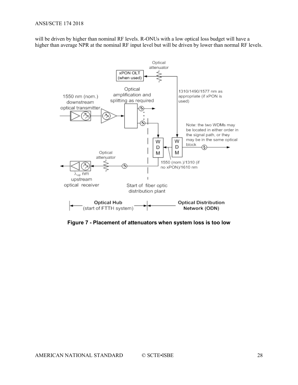will be driven by higher than nominal RF levels. R-ONUs with a low optical loss budget will have a higher than average NPR at the nominal RF input level but will be driven by lower than normal RF levels.



<span id="page-27-0"></span>**Figure 7 - Placement of attenuators when system loss is too low**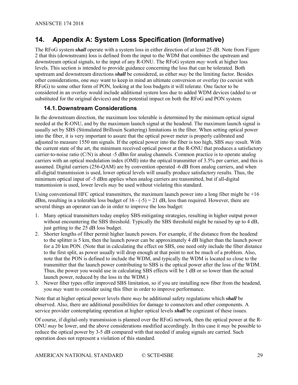## <span id="page-28-0"></span>**14. Appendix A: System Loss Specification (Informative)**

The RFoG system *shall* operate with a system loss in either direction of at least 25 dB. Note fro[m Figure](#page-11-1)  [2](#page-11-1) that this (downstream) loss is defined from the input to the WDM that combines the upstream and downstream optical signals, to the input of any R-ONU. The RFoG system *may* work at higher loss levels. This section is intended to provide guidance concerning the loss that can be tolerated. Both upstream and downstream directions *shall* be considered, as either *may* be the limiting factor. Besides other considerations, one *may* want to keep in mind an ultimate conversion or overlay (to coexist with RFoG) to some other form of PON, looking at the loss budgets it will tolerate. One factor to be considered in an overlay would include additional system loss due to added WDM devices (added to or substituted for the original devices) and the potential impact on both the RFoG and PON system.

#### <span id="page-28-1"></span>**14.1. Downstream Considerations**

In the downstream direction, the maximum loss tolerable is determined by the minimum optical signal needed at the R-ONU, and by the maximum launch signal at the headend. The maximum launch signal is usually set by SBS (Stimulated Brillouin Scattering) limitations in the fiber. When setting optical power into the fiber, it is very important to assure that the optical power meter is properly calibrated and adjusted to measure 1550 nm signals. If the optical power into the fiber is too high, SBS *may* result. With the current state of the art, the minimum received optical power at the R-ONU that produces a satisfactory carrier-to-noise ratio (C/N) is about -5 dBm for analog channels. Common practice is to operate analog carriers with an optical modulation index (OMI) into the optical transmitter of 3.5% per carrier, and this is assumed. Digital carriers (256-QAM) are by convention operated -6 dB from analog carriers, and when all-digital transmission is used, lower optical levels will usually produce satisfactory results. Thus, the minimum optical input of -5 dBm applies when analog carriers are transmitted, but if all-digital transmission is used, lower levels *may* be used without violating this standard.

Using conventional HFC optical transmitters, the maximum launch power into a long fiber might be  $+16$ dBm, resulting in a tolerable loss budget of  $16 - (-5) = 21$  dB, less than required. However, there are several things an operator can do in order to improve the loss budget:

- 1. Many optical transmitters today employ SBS-mitigating strategies, resulting in higher output power without encountering the SBS threshold. Typically the SBS threshold might be raised by up to 4 dB, just getting to the 25 dB loss budget.
- 2. Shorter lengths of fiber permit higher launch powers. For example, if the distance from the headend to the splitter is 5 km, then the launch power can be approximately 4 dB higher than the launch power for a 20 km PON. (Note that in calculating the effect on SBS, one need only include the fiber distance to the first split, as power usually will drop enough at that point to not be much of a problem. Also, note that the PON is defined to include the WDM, and typically the WDM is located so close to the transmitter that the launch power contributing to SBS is the optical power after the loss of the WDM. Thus, the power you would use in calculating SBS effects will be 1 dB or so lower than the actual launch power, reduced by the loss in the WDM.)
- 3. Newer fiber types offer improved SBS limitation, so if you are installing new fiber from the headend, you *may* want to consider using this fiber in order to improve performance.

Note that at higher optical power levels there *may* be additional safety regulations which *shall* be observed. Also, there are additional possibilities for damage to connectors and other components. A service provider contemplating operation at higher optical levels *shall* be cognizant of these issues.

Of course, if digital-only transmission is planned over the RFoG network, then the optical power at the R-ONU *may* be lower, and the above considerations modified accordingly. In this case it *may* be possible to reduce the optical power by 3-5 dB compared with that needed if analog signals are carried. Such operation does not represent a violation of this standard.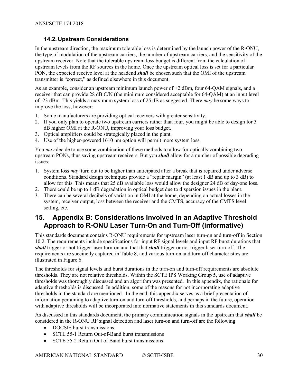#### <span id="page-29-0"></span>**14.2. Upstream Considerations**

In the upstream direction, the maximum tolerable loss is determined by the launch power of the R-ONU, the type of modulation of the upstream carriers, the number of upstream carriers, and the sensitivity of the upstream receiver. Note that the tolerable upstream loss budget is different from the calculation of upstream levels from the RF sources in the home. Once the upstream optical loss is set for a particular PON, the expected receive level at the headend *shall* be chosen such that the OMI of the upstream transmitter is "correct," as defined elsewhere in this document.

As an example, consider an upstream minimum launch power of +2 dBm, four 64-QAM signals, and a receiver that can provide 28 dB C/N (the minimum considered acceptable for 64-QAM) at an input level of -23 dBm. This yields a maximum system loss of 25 dB as suggested. There *may* be some ways to improve the loss, however:

- 1. Some manufacturers are providing optical receivers with greater sensitivity.
- 2. If you only plan to operate two upstream carriers rather than four, you might be able to design for 3 dB higher OMI at the R-ONU, improving your loss budget.
- 3. Optical amplifiers could be strategically placed in the plant.
- 4. Use of the higher-powered 1610 nm option will permit more system loss.

You *may* decide to use some combination of these methods to allow for optically combining two upstream PONs, thus saving upstream receivers. But you *shall* allow for a number of possible degrading issues:

- 1. System loss *may* turn out to be higher than anticipated after a break that is repaired under adverse conditions. Standard design techniques provide a "repair margin" (at least 1 dB and up to 3 dB) to allow for this. This means that 25 dB available loss would allow the designer 24 dB of day-one loss.
- 2. There could be up to 1 dB degradation in optical budget due to dispersion issues in the plant.
- 3. There can be several decibels of variation in OMI at the home, depending on actual losses in the system, receiver output, loss between the receiver and the CMTS, accuracy of the CMTS level setting, etc.

## <span id="page-29-1"></span>**15. Appendix B: Considerations Involved in an Adaptive Threshold Approach to R-ONU Laser Turn-On and Turn-Off (informative)**

This standards document contains R-ONU requirements for upstream laser turn-on and turn-off in Section [10.2.](#page-18-0) The requirements include specifications for input RF signal levels and input RF burst durations that *shall* trigger or not trigger laser turn-on and that that *shall* trigger or not trigger laser turn-off. The requirements are succinctly captured i[n Table 8,](#page-18-2) and various turn-on and turn-off characteristics are illustrated in [Figure 6.](#page-21-1)

The thresholds for signal levels and burst durations in the turn-on and turn-off requirements are absolute thresholds. They are not relative thresholds. Within the SCTE IPS Working Group 5, use of adaptive thresholds was thoroughly discussed and an algorithm was presented. In this appendix, the rationale for adaptive thresholds is discussed. In addition, some of the reasons for not incorporating adaptive thresholds in the standard are mentioned. In the end, this appendix serves as a brief presentation of information pertaining to adaptive turn-on and turn-off thresholds, and perhaps in the future, operation with adaptive thresholds will be incorporated into normative statements in this standards document.

As discussed in this standards document, the primary communication signals in the upstream that *shall* be considered in the R-ONU RF signal detection and laser turn-on and turn-off are the following:

- DOCSIS burst transmissions
- SCTE 55-1 Return Out-of-Band burst transmissions
- SCTE 55-2 Return Out of Band burst transmissions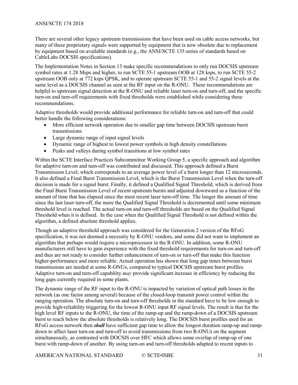#### ANSI/SCTE 174 2018

There are several other legacy upstream transmissions that have been used on cable access networks, but many of these proprietary signals were supported by equipment that is now obsolete due to replacement by equipment based on available standards (e.g., the ANSI/SCTE 135 series of standards based on CableLabs DOCSIS specifications).

The Implementation Notes in Sectio[n 13](#page-25-2) make specific recommendations to only run DOCSIS upstream symbol rates at 1.28 Msps and higher, to run SCTE 55-1 upstream OOB at 128 ksps, to run SCTE 55-2 upstream OOB only at 772 ksps QPSK, and to operate upstream SCTE 55-1 and 55-2 signal levels at the same level as a DOCSIS channel as seen at the RF input on the R-ONU. These recommendations are helpful to upstream signal detection at the R-ONU and reliable laser turn-on and turn-off, and the specific turn-on and turn-off requirements with fixed thresholds were established while considering these recommendations.

Adaptive thresholds would provide additional performance for reliable turn-on and turn-off that could better handle the following considerations:

- More efficient network operation due to smaller gap time between DOCSIS upstream burst transmissions
- Large dynamic range of input signal levels
- Dynamic range of highest to lowest power symbols in high density constellations
- Peaks and valleys during symbol transitions at low symbol rates

Within the SCTE Interface Practices Subcommittee Working Group 5, a specific approach and algorithm for adaptive turn-on and turn-off was contributed and discussed. This approach defined a Burst Transmission Level, which corresponds to an average power level of a burst longer than 12 microseconds. It also defined a Final Burst Transmission Level, which is the Burst Transmission Level when the turn-off decision is made for a signal burst. Finally, it defined a Qualified Signal Threshold, which is derived from the Final Burst Transmission Level of recent upstream bursts and adjusted downward as a function of the amount of time that has elapsed since the most recent laser turn-off time. The longer the amount of time since the last laser turn-off, the more the Qualified Signal Threshold is decremented until some minimum threshold level is reached. The actual turn-on and turn-off thresholds are based on the Qualified Signal Threshold when it is defined. In the case when the Qualified Signal Threshold is not defined within the algorithm, a defined absolute threshold applies.

Though an adaptive threshold approach was considered for the Generation 2 version of the RFoG specification, it was not deemed a necessity by R-ONU vendors, and some did not want to implement an algorithm that perhaps would require a microprocessor in the R-ONU. In addition, some R-ONU manufacturers still have to gain experience with the fixed threshold requirements for turn-on and turn-off and thus are not ready to consider further enhancement of turn-on or turn-off that make this function higher-performance and more reliable. Actual operation has shown that long gap times between burst transmissions are needed at some R-ONUs, compared to typical DOCSIS upstream burst profiles. Adaptive turn-on and turn-off capability *may* provide significant increase in efficiency by reducing the long gaps currently required in some plants.

The dynamic range of the RF input to the R-ONU is impacted by variation of optical path losses in the network (as one factor among several) because of the closed-loop transmit power control within the ranging operation. The absolute turn-on and turn-off thresholds in the standard have to be low enough to provide high-reliability triggering for the lowest R-ONU input RF signal levels. The result is that for the high level RF inputs to the R-ONU, the time of the ramp-up and the ramp-down of a DOCSIS upstream burst to reach below the absolute thresholds is relatively long. The DOCSIS burst profiles used for an RFoG access network then *shall* have sufficient gap time to allow the longest duration ramp-up and rampdown to affect laser turn-on and turn-off to avoid transmissions from two R-ONUs on the segment simultaneously, as contrasted with DOCSIS over HFC which allows some overlap of ramp-up of one burst with ramp-down of another. By using turn-on and turn-off thresholds adapted to recent inputs to

AMERICAN NATIONAL STANDARD © SCTE•ISBE 31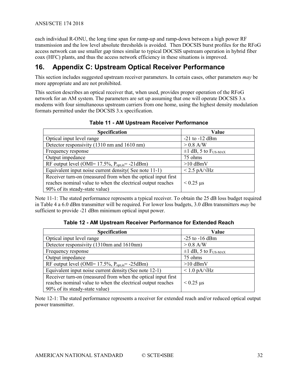each individual R-ONU, the long time span for ramp-up and ramp-down between a high power RF transmission and the low level absolute thresholds is avoided. Then DOCSIS burst profiles for the RFoG access network can use smaller gap times similar to typical DOCSIS upstream operation in hybrid fiber coax (HFC) plants, and thus the access network efficiency in these situations is improved.

# <span id="page-31-0"></span>**16. Appendix C: Upstream Optical Receiver Performance**

This section includes suggested upstream receiver parameters. In certain cases, other parameters *may* be more appropriate and are not prohibited.

This section describes an optical receiver that, when used, provides proper operation of the RFoG network for an AM system. The parameters are set up assuming that one will operate DOCSIS 3.x modems with four simultaneous upstream carriers from one home, using the highest density modulation formats permitted under the DOCSIS 3.x specification.

| <b>Specification</b>                                                                                                         | Value                                |
|------------------------------------------------------------------------------------------------------------------------------|--------------------------------------|
| Optical input level range                                                                                                    | $-21$ to $-12$ dBm                   |
| Detector responsivity (1310 nm and 1610 nm)                                                                                  | $> 0.8$ A/W                          |
| Frequency response                                                                                                           | $\pm 1$ dB, 5 to F <sub>US-MAX</sub> |
| Output impedance                                                                                                             | 75 ohms                              |
| RF output level (OMI= $17.5\%$ , $P_{opt,in}$ = -21dBm)                                                                      | $>10$ dBmV                           |
| Equivalent input noise current density (See note 11-1)                                                                       | $< 2.5$ pA/ $\sqrt{Hz}$              |
| Receiver turn-on (measured from when the optical input first)<br>reaches nominal value to when the electrical output reaches | $< 0.25 \text{ }\mu\text{s}$         |
| 90% of its steady-state value)                                                                                               |                                      |

**Table 11 - AM Upstream Receiver Performance**

Note 11-1: The stated performance represents a typical receiver. To obtain the 25 dB loss budget required in [Table 4](#page-15-1) a 6.0 dBm transmitter will be required. For lower loss budgets, 3.0 dBm transmitters *may* be sufficient to provide -21 dBm minimum optical input power.

| <b>Specification</b>                                         | Value                                |
|--------------------------------------------------------------|--------------------------------------|
| Optical input level range                                    | $-25$ to $-16$ dBm                   |
| Detector responsivity (1310nm and 1610nm)                    | $> 0.8$ A/W                          |
| Frequency response                                           | $\pm 1$ dB, 5 to F <sub>US-MAX</sub> |
| Output impedance                                             | 75 ohms                              |
| RF output level (OMI= $17.5\%$ , $P_{opt,in}$ = -25dBm)      | $>10$ dBmV                           |
| Equivalent input noise current density (See note 12-1)       | $\leq 1.0$ pA/ $\sqrt{\text{Hz}}$    |
| Receiver turn-on (measured from when the optical input first |                                      |
| reaches nominal value to when the electrical output reaches  | $< 0.25 \text{ }\mu\text{s}$         |
| 90% of its steady-state value)                               |                                      |

Note 12-1: The stated performance represents a receiver for extended reach and/or reduced optical output power transmitter.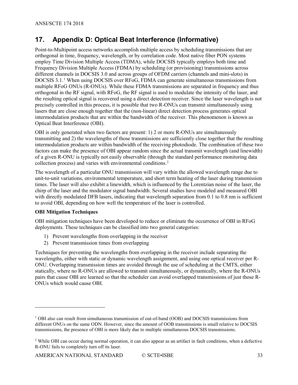# <span id="page-32-0"></span>**17. Appendix D: Optical Beat Interference (Informative)**

Point-to-Multipoint access networks accomplish multiple access by scheduling transmissions that are orthogonal in time, frequency, wavelength, or by correlation code. Most native fiber PON systems employ Time Division Multiple Access (TDMA), while DOCSIS typically employs both time and Frequency Division Multiple Access (FDMA) by scheduling (or provisioning) transmissions across different channels in DOCSIS 3.0 and across groups of OFDM carriers (channels and mini-slots) in DOCSIS 3.1.[1](#page-32-1) When using DOCSIS over RFoG, FDMA can generate simultaneous transmissions from multiple RFoG ONUs (R-ONUs). While these FDMA transmissions are separated in frequency and thus orthogonal in the RF signal, with RFoG, the RF signal is used to modulate the intensity of the laser, and the resulting optical signal is recovered using a direct detection receiver. Since the laser wavelength is not precisely controlled in this process, it is possible that two R-ONUs can transmit simultaneously using lasers that are close enough together that the (non-linear) direct detection process generates optical intermodulation products that are within the bandwidth of the receiver. This phenomenon is known as Optical Beat Interference (OBI).

OBI is only generated when two factors are present: 1) 2 or more R-ONUs are simultaneously transmitting and 2) the wavelengths of those transmissions are sufficiently close together that the resulting intermodulation products are within bandwidth of the receiving photodiode. The combination of these two factors can make the presence of OBI appear random since the actual transmit wavelength (and linewidth) of a given R-ONU is typically not easily observable (through the standard performance monitoring data collection process) and varies with environmental conditions.<sup>[2](#page-32-2)</sup>

The wavelength of a particular ONU transmission will vary within the allowed wavelength range due to unit-to-unit variations, environmental temperature, and short term heating of the laser during transmission times. The laser will also exhibit a linewidth, which is influenced by the Lorentzian noise of the laser, the chirp of the laser and the modulator signal bandwidth. Several studies have modeled and measured OBI with directly modulated DFB lasers, indicating that wavelength separation from 0.1 to 0.8 nm is sufficient to avoid OBI, depending on how well the temperature of the laser is controlled.

#### **OBI Mitigation Techniques**

 $\overline{a}$ 

OBI mitigation techniques have been developed to reduce or eliminate the occurrence of OBI in RFoG deployments. These techniques can be classified into two general categories:

- 1) Prevent wavelengths from overlapping in the receiver
- 2) Prevent transmission times from overlapping

Techniques for preventing the wavelengths from overlapping in the receiver include separating the wavelengths, either with static or dynamic wavelength assignment, and using one optical receiver per R-ONU. Overlapping transmission times are avoided through the use of scheduling at the CMTS, either statically, where no R-ONUs are allowed to transmit simultaneously, or dynamically, where the R-ONUs pairs that cause OBI are learned so that the scheduler can avoid overlapped transmissions of just those R-ONUs which would cause OBI.

<span id="page-32-1"></span><sup>1</sup> OBI also can result from simultaneous transmission of out-of-band (OOB) and DOCSIS transmissions from different ONUs on the same ODN. However, since the amount of OOB transmissions is small relative to DOCSIS transmissions, the presence of OBI is more likely due to multiple simultaneous DOCSIS transmissions.

<span id="page-32-2"></span><sup>&</sup>lt;sup>2</sup> While OBI can occur during normal operation, it can also appear as an artifact in fault conditions, when a defective R-ONU fails to completely turn off its laser.